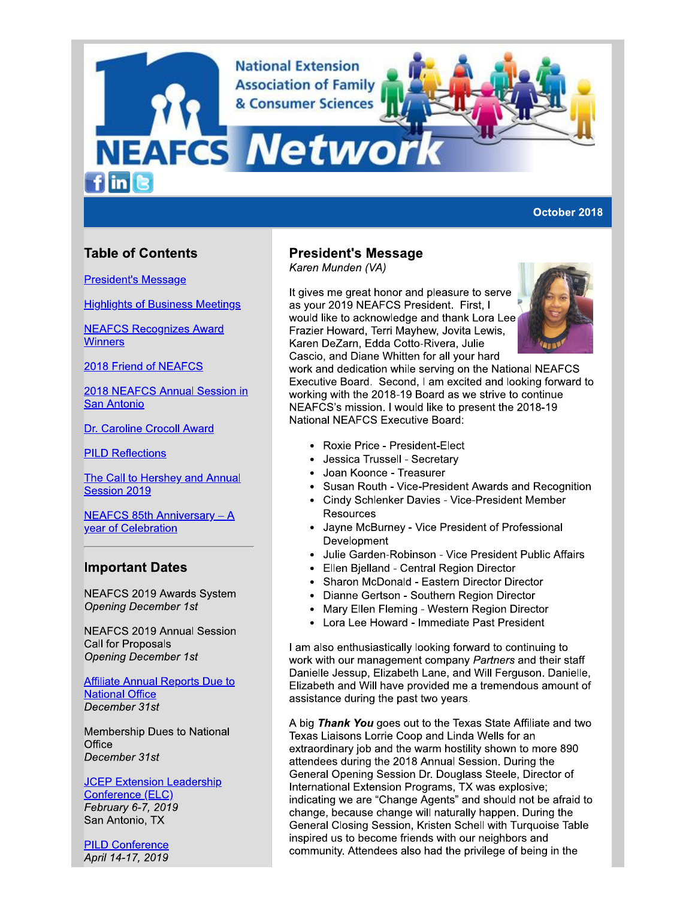**National Extension Association of Family** & Consumer Sciences

**NEAFCS Netwol** finc

### October 2018

# **Table of Contents**

**President's Message** 

**Highlights of Business Meetings** 

**NEAFCS Recognizes Award Winners** 

2018 Friend of NEAFCS

2018 NEAFCS Annual Session in **San Antonio** 

Dr. Caroline Crocoll Award

**PILD Reflections** 

The Call to Hershey and Annual Session 2019

**NEAFCS 85th Anniversary - A** year of Celebration

# **Important Dates**

NEAFCS 2019 Awards System **Opening December 1st** 

**NEAFCS 2019 Annual Session** Call for Proposals **Opening December 1st** 

**Affiliate Annual Reports Due to National Office** December 31st

Membership Dues to National Office December 31st

**JCEP Extension Leadership** Conference (ELC) February 6-7, 2019 San Antonio, TX

**PILD Conference** April 14-17, 2019

# **President's Message**

Karen Munden (VA)

It gives me great honor and pleasure to serve as your 2019 NEAFCS President. First, I would like to acknowledge and thank Lora Lee Frazier Howard, Terri Mayhew, Jovita Lewis, Karen DeZarn, Edda Cotto-Rivera, Julie Cascio, and Diane Whitten for all your hard



work and dedication while serving on the National NEAFCS Executive Board. Second, I am excited and looking forward to working with the 2018-19 Board as we strive to continue NEAFCS's mission. I would like to present the 2018-19 **National NEAFCS Executive Board:** 

- Roxie Price President-Elect
- $\bullet$ Jessica Trussell - Secretary
- Joan Koonce Treasurer  $\bullet$
- Susan Routh Vice-President Awards and Recognition  $\bullet$
- Cindy Schlenker Davies Vice-President Member **Resources**
- Jayne McBurney Vice President of Professional Development
- Julie Garden-Robinson Vice President Public Affairs
- Ellen Bjelland Central Region Director  $\bullet$
- Sharon McDonald Eastern Director Director  $\bullet$
- $\bullet$ Dianne Gertson - Southern Region Director
- Mary Ellen Fleming Western Region Director  $\bullet$
- Lora Lee Howard Immediate Past President  $\bullet$

I am also enthusiastically looking forward to continuing to work with our management company Partners and their staff Danielle Jessup, Elizabeth Lane, and Will Ferguson. Danielle, Elizabeth and Will have provided me a tremendous amount of assistance during the past two years.

A big Thank You goes out to the Texas State Affiliate and two Texas Liaisons Lorrie Coop and Linda Wells for an extraordinary job and the warm hostility shown to more 890 attendees during the 2018 Annual Session. During the General Opening Session Dr. Douglass Steele, Director of International Extension Programs, TX was explosive; indicating we are "Change Agents" and should not be afraid to change, because change will naturally happen. During the General Closing Session, Kristen Schell with Turquoise Table inspired us to become friends with our neighbors and community. Attendees also had the privilege of being in the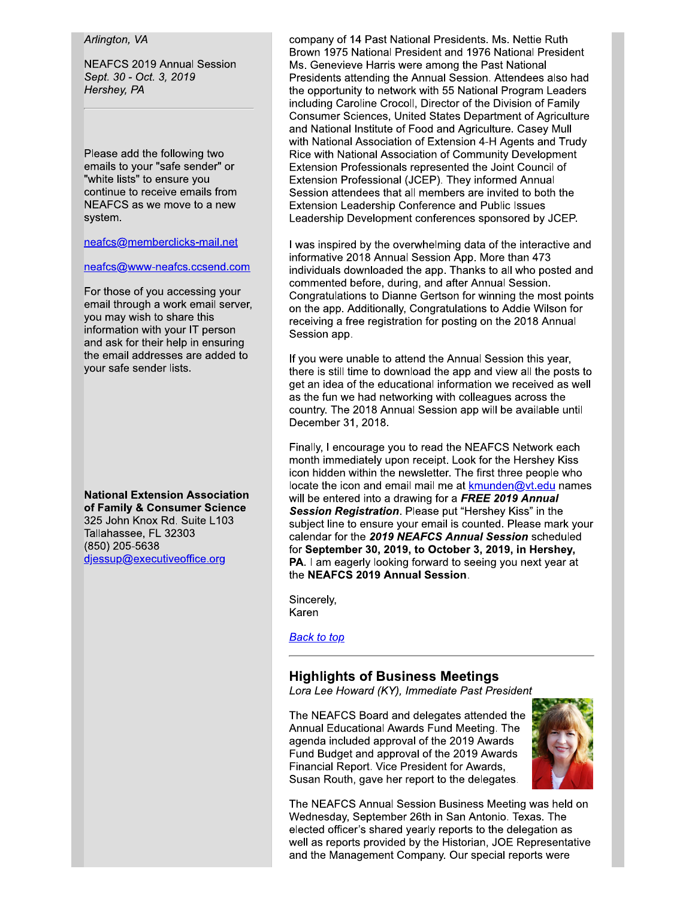### Arlington, VA

**NEAFCS 2019 Annual Session** Sept. 30 - Oct. 3, 2019 Hershey, PA

Please add the following two emails to your "safe sender" or "white lists" to ensure you continue to receive emails from NEAFCS as we move to a new system.

neafcs@memberclicks-mail.net

neafcs@www-neafcs.ccsend.com

For those of you accessing your email through a work email server, you may wish to share this information with your IT person and ask for their help in ensuring the email addresses are added to your safe sender lists.

**National Extension Association** of Family & Consumer Science 325 John Knox Rd. Suite L103 Tallahassee, FL 32303 (850) 205-5638 djessup@executiveoffice.org

company of 14 Past National Presidents. Ms. Nettie Ruth Brown 1975 National President and 1976 National President Ms. Genevieve Harris were among the Past National Presidents attending the Annual Session. Attendees also had the opportunity to network with 55 National Program Leaders including Caroline Crocoll, Director of the Division of Family Consumer Sciences, United States Department of Agriculture and National Institute of Food and Agriculture. Casey Mull with National Association of Extension 4-H Agents and Trudy Rice with National Association of Community Development Extension Professionals represented the Joint Council of Extension Professional (JCEP). They informed Annual Session attendees that all members are invited to both the Extension Leadership Conference and Public Issues Leadership Development conferences sponsored by JCEP.

I was inspired by the overwhelming data of the interactive and informative 2018 Annual Session App. More than 473 individuals downloaded the app. Thanks to all who posted and commented before, during, and after Annual Session. Congratulations to Dianne Gertson for winning the most points on the app. Additionally, Congratulations to Addie Wilson for receiving a free registration for posting on the 2018 Annual Session app.

If you were unable to attend the Annual Session this year, there is still time to download the app and view all the posts to get an idea of the educational information we received as well as the fun we had networking with colleagues across the country. The 2018 Annual Session app will be available until December 31, 2018.

Finally, I encourage you to read the NEAFCS Network each month immediately upon receipt. Look for the Hershey Kiss icon hidden within the newsletter. The first three people who locate the icon and email mail me at kmunden@vt.edu names will be entered into a drawing for a FREE 2019 Annual Session Registration. Please put "Hershey Kiss" in the subject line to ensure your email is counted. Please mark your calendar for the 2019 NEAFCS Annual Session scheduled for September 30, 2019, to October 3, 2019, in Hershey, PA. I am eagerly looking forward to seeing you next year at the NEAFCS 2019 Annual Session.

Sincerely, Karen

**Back to top** 

# **Highlights of Business Meetings**

Lora Lee Howard (KY), Immediate Past President

The NEAFCS Board and delegates attended the Annual Educational Awards Fund Meeting. The agenda included approval of the 2019 Awards Fund Budget and approval of the 2019 Awards Financial Report. Vice President for Awards, Susan Routh, gave her report to the delegates.



The NEAFCS Annual Session Business Meeting was held on Wednesday, September 26th in San Antonio. Texas. The elected officer's shared yearly reports to the delegation as well as reports provided by the Historian, JOE Representative and the Management Company. Our special reports were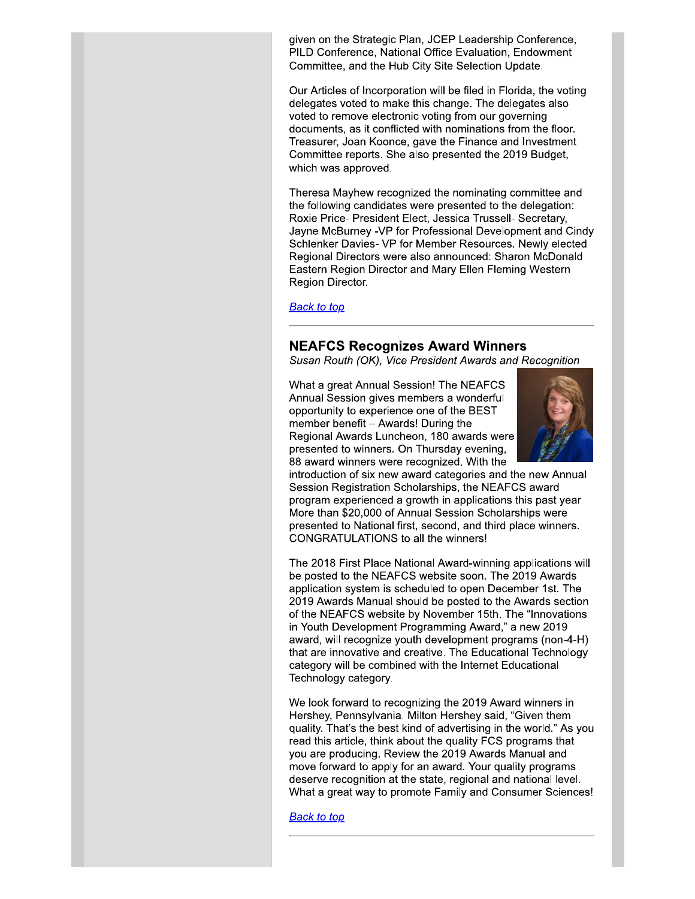given on the Strategic Plan, JCEP Leadership Conference, PILD Conference, National Office Evaluation, Endowment Committee, and the Hub City Site Selection Update.

Our Articles of Incorporation will be filed in Florida, the voting delegates voted to make this change. The delegates also voted to remove electronic voting from our governing documents, as it conflicted with nominations from the floor. Treasurer, Joan Koonce, gave the Finance and Investment Committee reports. She also presented the 2019 Budget, which was approved.

Theresa Mayhew recognized the nominating committee and the following candidates were presented to the delegation: Roxie Price- President Elect, Jessica Trussell- Secretary, Jayne McBurney -VP for Professional Development and Cindy Schlenker Davies- VP for Member Resources. Newly elected Regional Directors were also announced: Sharon McDonald Eastern Region Director and Mary Ellen Fleming Western Region Director.

**Back to top** 

### **NEAFCS Recognizes Award Winners**

Susan Routh (OK), Vice President Awards and Recognition

What a great Annual Session! The NEAFCS Annual Session gives members a wonderful opportunity to experience one of the BEST member benefit - Awards! During the Regional Awards Luncheon, 180 awards were presented to winners. On Thursday evening, 88 award winners were recognized. With the



introduction of six new award categories and the new Annual Session Registration Scholarships, the NEAFCS award program experienced a growth in applications this past year. More than \$20,000 of Annual Session Scholarships were presented to National first, second, and third place winners. CONGRATULATIONS to all the winners!

The 2018 First Place National Award-winning applications will be posted to the NEAFCS website soon. The 2019 Awards application system is scheduled to open December 1st. The 2019 Awards Manual should be posted to the Awards section of the NEAFCS website by November 15th. The "Innovations" in Youth Development Programming Award," a new 2019 award, will recognize youth development programs (non-4-H) that are innovative and creative. The Educational Technology category will be combined with the Internet Educational Technology category.

We look forward to recognizing the 2019 Award winners in Hershey, Pennsylvania. Milton Hershey said, "Given them quality. That's the best kind of advertising in the world." As you read this article, think about the quality FCS programs that you are producing. Review the 2019 Awards Manual and move forward to apply for an award. Your quality programs deserve recognition at the state, regional and national level. What a great way to promote Family and Consumer Sciences!

**Back to top**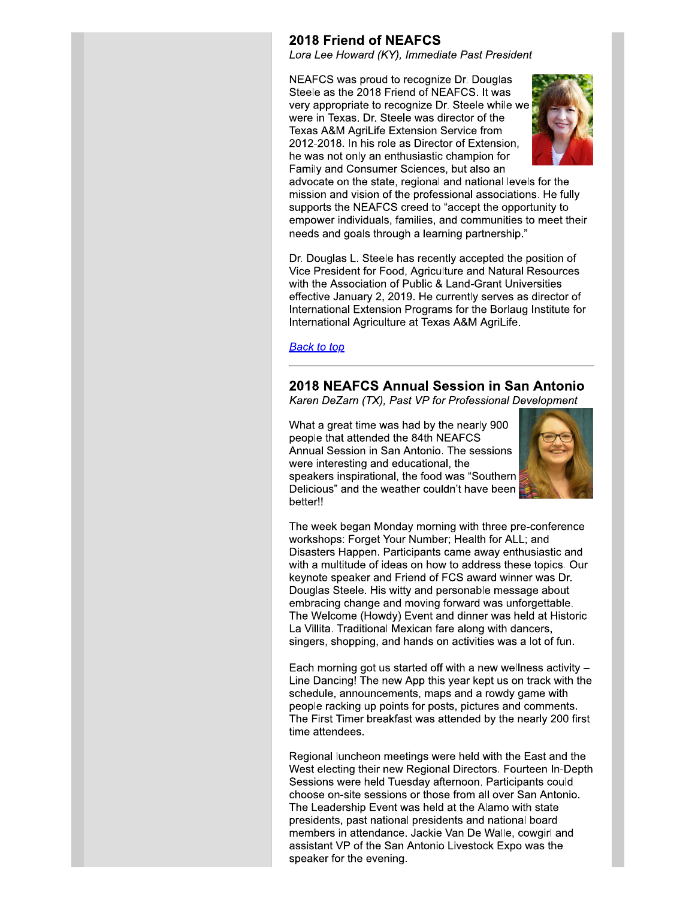# **2018 Friend of NEAFCS**

Lora Lee Howard (KY), Immediate Past President

NEAFCS was proud to recognize Dr. Douglas Steele as the 2018 Friend of NEAFCS. It was very appropriate to recognize Dr. Steele while we were in Texas. Dr. Steele was director of the Texas A&M AgriLife Extension Service from 2012-2018. In his role as Director of Extension, he was not only an enthusiastic champion for Family and Consumer Sciences, but also an



advocate on the state, regional and national levels for the mission and vision of the professional associations. He fully supports the NEAFCS creed to "accept the opportunity to empower individuals, families, and communities to meet their needs and goals through a learning partnership."

Dr. Douglas L. Steele has recently accepted the position of Vice President for Food, Agriculture and Natural Resources with the Association of Public & Land-Grant Universities effective January 2, 2019. He currently serves as director of International Extension Programs for the Borlaug Institute for International Agriculture at Texas A&M AgriLife.

#### **Back to top**

# 2018 NEAFCS Annual Session in San Antonio

Karen DeZarn (TX), Past VP for Professional Development

What a great time was had by the nearly 900 people that attended the 84th NEAFCS Annual Session in San Antonio. The sessions were interesting and educational, the speakers inspirational, the food was "Southern Delicious" and the weather couldn't have been better!!



The week began Monday morning with three pre-conference workshops: Forget Your Number; Health for ALL; and Disasters Happen. Participants came away enthusiastic and with a multitude of ideas on how to address these topics. Our keynote speaker and Friend of FCS award winner was Dr. Douglas Steele. His witty and personable message about embracing change and moving forward was unforgettable. The Welcome (Howdy) Event and dinner was held at Historic La Villita. Traditional Mexican fare along with dancers, singers, shopping, and hands on activities was a lot of fun.

Each morning got us started off with a new wellness activity -Line Dancing! The new App this year kept us on track with the schedule, announcements, maps and a rowdy game with people racking up points for posts, pictures and comments. The First Timer breakfast was attended by the nearly 200 first time attendees.

Regional luncheon meetings were held with the East and the West electing their new Regional Directors. Fourteen In-Depth Sessions were held Tuesday afternoon. Participants could choose on-site sessions or those from all over San Antonio. The Leadership Event was held at the Alamo with state presidents, past national presidents and national board members in attendance. Jackie Van De Walle, cowgirl and assistant VP of the San Antonio Livestock Expo was the speaker for the evening.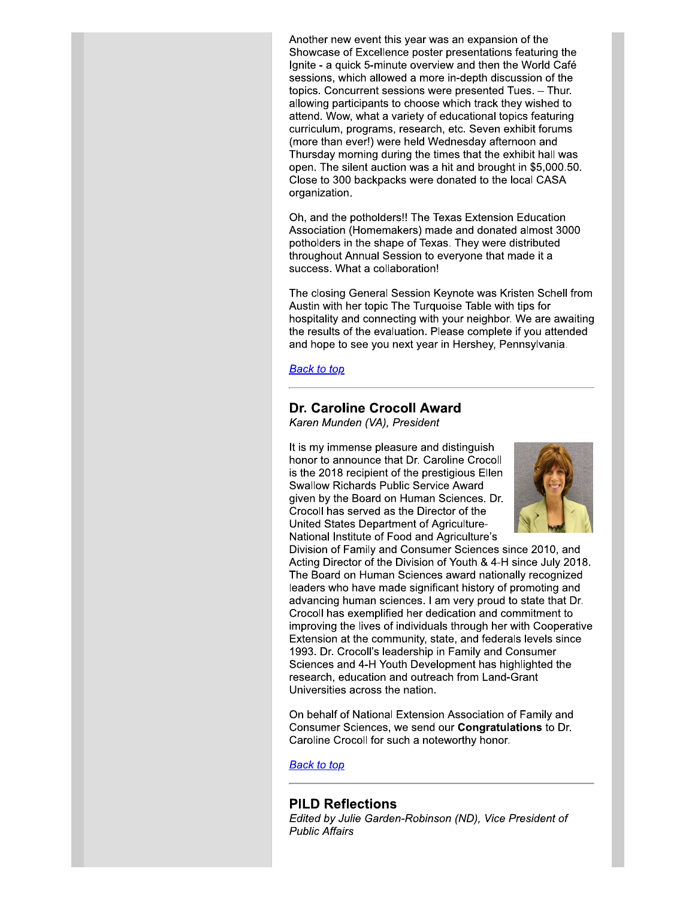Another new event this year was an expansion of the Showcase of Excellence poster presentations featuring the Ignite - a quick 5-minute overview and then the World Café sessions, which allowed a more in-depth discussion of the topics. Concurrent sessions were presented Tues. - Thur. allowing participants to choose which track they wished to attend. Wow, what a variety of educational topics featuring curriculum, programs, research, etc. Seven exhibit forums (more than ever!) were held Wednesday afternoon and Thursday morning during the times that the exhibit hall was open. The silent auction was a hit and brought in \$5,000.50. Close to 300 backpacks were donated to the local CASA organization.

Oh, and the potholders!! The Texas Extension Education Association (Homemakers) made and donated almost 3000 potholders in the shape of Texas. They were distributed throughout Annual Session to everyone that made it a success. What a collaboration!

The closing General Session Keynote was Kristen Schell from Austin with her topic The Turquoise Table with tips for hospitality and connecting with your neighbor. We are awaiting the results of the evaluation. Please complete if you attended and hope to see you next year in Hershey, Pennsylvania.

**Back to top** 

# Dr. Caroline Crocoll Award

Karen Munden (VA), President

It is my immense pleasure and distinguish honor to announce that Dr. Caroline Crocoll is the 2018 recipient of the prestigious Ellen **Swallow Richards Public Service Award** given by the Board on Human Sciences. Dr. Crocoll has served as the Director of the United States Department of Agriculture-National Institute of Food and Agriculture's



Division of Family and Consumer Sciences since 2010, and Acting Director of the Division of Youth & 4-H since July 2018. The Board on Human Sciences award nationally recognized leaders who have made significant history of promoting and advancing human sciences. I am very proud to state that Dr. Crocoll has exemplified her dedication and commitment to improving the lives of individuals through her with Cooperative Extension at the community, state, and federals levels since 1993. Dr. Crocoll's leadership in Family and Consumer Sciences and 4-H Youth Development has highlighted the research, education and outreach from Land-Grant Universities across the nation.

On behalf of National Extension Association of Family and Consumer Sciences, we send our **Congratulations** to Dr. Caroline Crocoll for such a noteworthy honor.

**Back to top** 

#### **PILD Reflections**

Edited by Julie Garden-Robinson (ND), Vice President of **Public Affairs**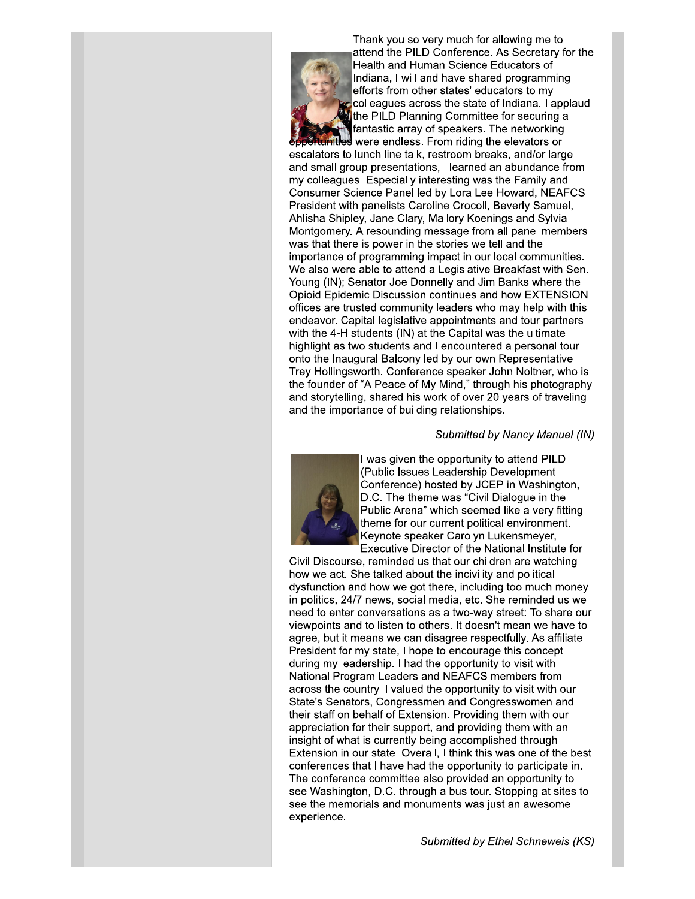

Thank you so very much for allowing me to attend the PILD Conference. As Secretary for the Health and Human Science Educators of Indiana, I will and have shared programming efforts from other states' educators to my colleagues across the state of Indiana. I applaud the PILD Planning Committee for securing a fantastic array of speakers. The networking es were endless. From riding the elevators or

escalators to lunch line talk, restroom breaks, and/or large and small group presentations, I learned an abundance from my colleagues. Especially interesting was the Family and Consumer Science Panel led by Lora Lee Howard, NEAFCS President with panelists Caroline Crocoll, Beverly Samuel, Ahlisha Shipley, Jane Clary, Mallory Koenings and Sylvia Montgomery. A resounding message from all panel members was that there is power in the stories we tell and the importance of programming impact in our local communities. We also were able to attend a Legislative Breakfast with Sen. Young (IN); Senator Joe Donnelly and Jim Banks where the Opioid Epidemic Discussion continues and how EXTENSION offices are trusted community leaders who may help with this endeavor. Capital legislative appointments and tour partners with the 4-H students (IN) at the Capital was the ultimate highlight as two students and I encountered a personal tour onto the Inaugural Balcony led by our own Representative Trey Hollingsworth. Conference speaker John Noltner, who is the founder of "A Peace of My Mind," through his photography and storytelling, shared his work of over 20 years of traveling and the importance of building relationships.

#### Submitted by Nancy Manuel (IN)



I was given the opportunity to attend PILD (Public Issues Leadership Development Conference) hosted by JCEP in Washington, D.C. The theme was "Civil Dialogue in the Public Arena" which seemed like a very fitting theme for our current political environment. Keynote speaker Carolyn Lukensmeyer, Executive Director of the National Institute for

Civil Discourse, reminded us that our children are watching how we act. She talked about the incivility and political dysfunction and how we got there, including too much money in politics, 24/7 news, social media, etc. She reminded us we need to enter conversations as a two-way street: To share our viewpoints and to listen to others. It doesn't mean we have to agree, but it means we can disagree respectfully. As affiliate President for my state, I hope to encourage this concept during my leadership. I had the opportunity to visit with National Program Leaders and NEAFCS members from across the country. I valued the opportunity to visit with our State's Senators, Congressmen and Congresswomen and their staff on behalf of Extension. Providing them with our appreciation for their support, and providing them with an insight of what is currently being accomplished through Extension in our state. Overall, I think this was one of the best conferences that I have had the opportunity to participate in. The conference committee also provided an opportunity to see Washington, D.C. through a bus tour. Stopping at sites to see the memorials and monuments was just an awesome experience.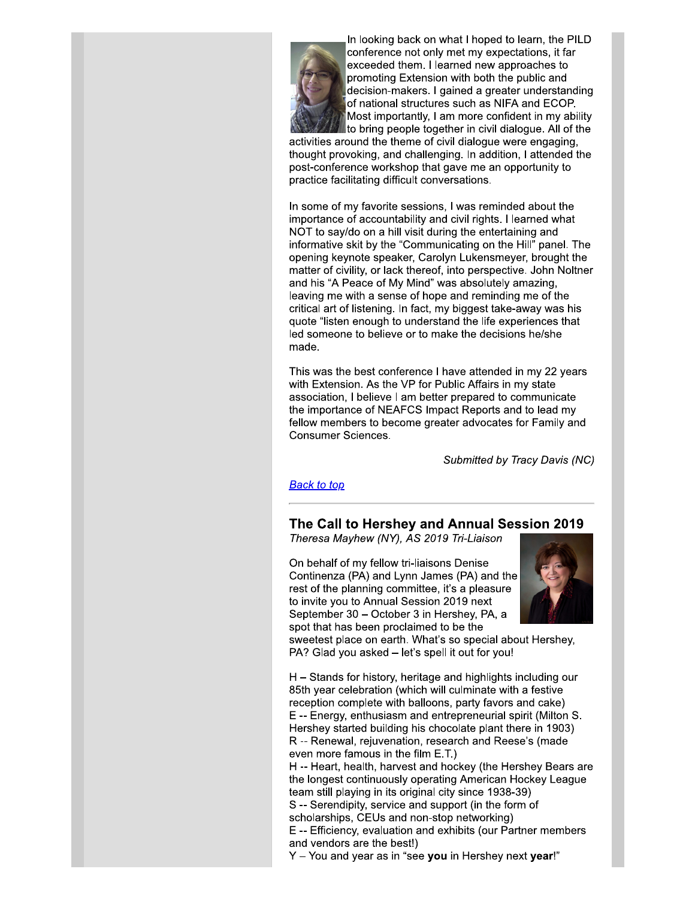

In looking back on what I hoped to learn, the PILD conference not only met my expectations, it far exceeded them. I learned new approaches to promoting Extension with both the public and decision-makers. I gained a greater understanding of national structures such as NIFA and ECOP. Most importantly, I am more confident in my ability to bring people together in civil dialogue. All of the

activities around the theme of civil dialogue were engaging, thought provoking, and challenging. In addition, I attended the post-conference workshop that gave me an opportunity to practice facilitating difficult conversations.

In some of my favorite sessions, I was reminded about the importance of accountability and civil rights. I learned what NOT to say/do on a hill visit during the entertaining and informative skit by the "Communicating on the Hill" panel. The opening keynote speaker, Carolyn Lukensmeyer, brought the matter of civility, or lack thereof, into perspective. John Noltner and his "A Peace of My Mind" was absolutely amazing, leaving me with a sense of hope and reminding me of the critical art of listening. In fact, my biggest take-away was his quote "listen enough to understand the life experiences that led someone to believe or to make the decisions he/she made.

This was the best conference I have attended in my 22 years with Extension. As the VP for Public Affairs in my state association, I believe I am better prepared to communicate the importance of NEAFCS Impact Reports and to lead my fellow members to become greater advocates for Family and **Consumer Sciences.** 

Submitted by Tracy Davis (NC)

### **Back to top**

# The Call to Hershey and Annual Session 2019

Theresa Mayhew (NY), AS 2019 Tri-Liaison

On behalf of my fellow tri-liaisons Denise Continenza (PA) and Lynn James (PA) and the rest of the planning committee, it's a pleasure to invite you to Annual Session 2019 next September 30 – October 3 in Hershey, PA, a spot that has been proclaimed to be the



sweetest place on earth. What's so special about Hershey, PA? Glad you asked - let's spell it out for you!

H – Stands for history, heritage and highlights including our 85th year celebration (which will culminate with a festive reception complete with balloons, party favors and cake) E -- Energy, enthusiasm and entrepreneurial spirit (Milton S. Hershey started building his chocolate plant there in 1903) R -- Renewal, rejuvenation, research and Reese's (made even more famous in the film E.T.)

H -- Heart, health, harvest and hockey (the Hershey Bears are the longest continuously operating American Hockey League team still playing in its original city since 1938-39)

S -- Serendipity, service and support (in the form of scholarships, CEUs and non-stop networking)

E -- Efficiency, evaluation and exhibits (our Partner members and vendors are the best!)

Y - You and year as in "see you in Hershey next year!"